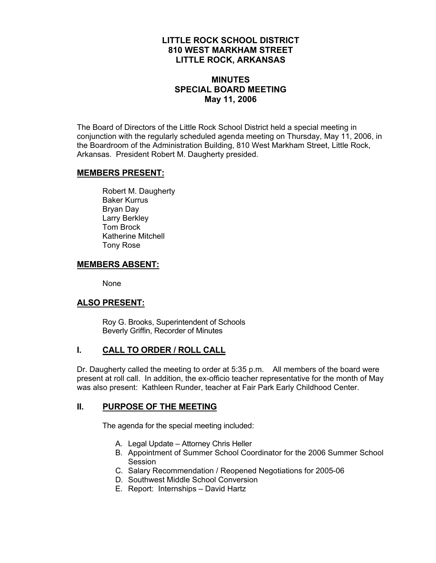### **LITTLE ROCK SCHOOL DISTRICT 810 WEST MARKHAM STREET LITTLE ROCK, ARKANSAS**

# **MINUTES SPECIAL BOARD MEETING May 11, 2006**

The Board of Directors of the Little Rock School District held a special meeting in conjunction with the regularly scheduled agenda meeting on Thursday, May 11, 2006, in the Boardroom of the Administration Building, 810 West Markham Street, Little Rock, Arkansas. President Robert M. Daugherty presided.

#### **MEMBERS PRESENT:**

Robert M. Daugherty Baker Kurrus Bryan Day Larry Berkley Tom Brock Katherine Mitchell Tony Rose

### **MEMBERS ABSENT:**

None

# **ALSO PRESENT:**

 Roy G. Brooks, Superintendent of Schools Beverly Griffin, Recorder of Minutes

### **I. CALL TO ORDER / ROLL CALL**

Dr. Daugherty called the meeting to order at 5:35 p.m. All members of the board were present at roll call. In addition, the ex-officio teacher representative for the month of May was also present: Kathleen Runder, teacher at Fair Park Early Childhood Center.

### **II. PURPOSE OF THE MEETING**

The agenda for the special meeting included:

- A. Legal Update Attorney Chris Heller
- B. Appointment of Summer School Coordinator for the 2006 Summer School Session
- C. Salary Recommendation / Reopened Negotiations for 2005-06
- D. Southwest Middle School Conversion
- E. Report: Internships David Hartz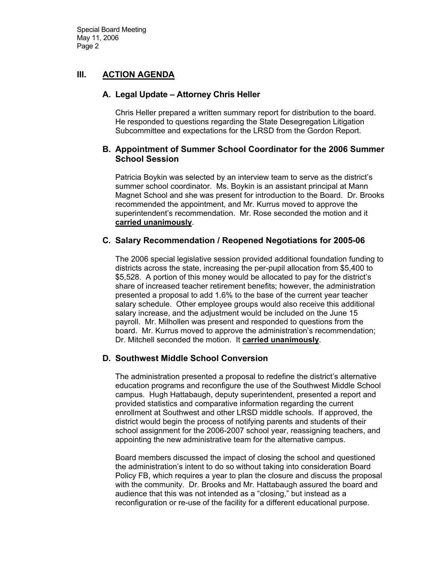Special Board Meeting May 11, 2006 Page 2

### **III. ACTION AGENDA**

#### **A. Legal Update – Attorney Chris Heller**

Chris Heller prepared a written summary report for distribution to the board. He responded to questions regarding the State Desegregation Litigation Subcommittee and expectations for the LRSD from the Gordon Report.

#### **B. Appointment of Summer School Coordinator for the 2006 Summer School Session**

Patricia Boykin was selected by an interview team to serve as the district's summer school coordinator. Ms. Boykin is an assistant principal at Mann Magnet School and she was present for introduction to the Board. Dr. Brooks recommended the appointment, and Mr. Kurrus moved to approve the superintendent's recommendation. Mr. Rose seconded the motion and it **carried unanimously**.

#### **C. Salary Recommendation / Reopened Negotiations for 2005-06**

The 2006 special legislative session provided additional foundation funding to districts across the state, increasing the per-pupil allocation from \$5,400 to \$5,528. A portion of this money would be allocated to pay for the district's share of increased teacher retirement benefits; however, the administration presented a proposal to add 1.6% to the base of the current year teacher salary schedule. Other employee groups would also receive this additional salary increase, and the adjustment would be included on the June 15 payroll. Mr. Milhollen was present and responded to questions from the board. Mr. Kurrus moved to approve the administration's recommendation; Dr. Mitchell seconded the motion. It **carried unanimously**.

### **D. Southwest Middle School Conversion**

The administration presented a proposal to redefine the district's alternative education programs and reconfigure the use of the Southwest Middle School campus. Hugh Hattabaugh, deputy superintendent, presented a report and provided statistics and comparative information regarding the current enrollment at Southwest and other LRSD middle schools. If approved, the district would begin the process of notifying parents and students of their school assignment for the 2006-2007 school year, reassigning teachers, and appointing the new administrative team for the alternative campus.

Board members discussed the impact of closing the school and questioned the administration's intent to do so without taking into consideration Board Policy FB, which requires a year to plan the closure and discuss the proposal with the community. Dr. Brooks and Mr. Hattabaugh assured the board and audience that this was not intended as a "closing," but instead as a reconfiguration or re-use of the facility for a different educational purpose.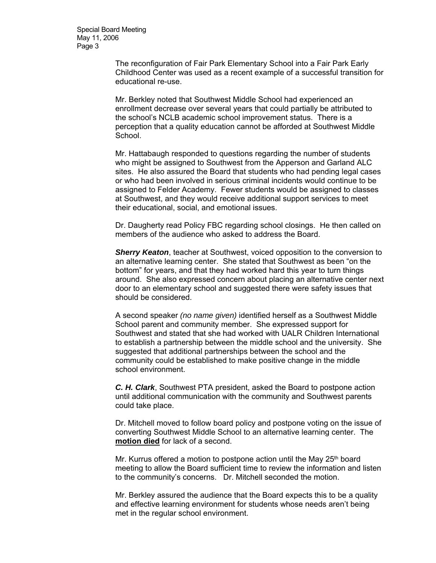Special Board Meeting May 11, 2006 Page 3

> The reconfiguration of Fair Park Elementary School into a Fair Park Early Childhood Center was used as a recent example of a successful transition for educational re-use.

Mr. Berkley noted that Southwest Middle School had experienced an enrollment decrease over several years that could partially be attributed to the school's NCLB academic school improvement status. There is a perception that a quality education cannot be afforded at Southwest Middle School.

Mr. Hattabaugh responded to questions regarding the number of students who might be assigned to Southwest from the Apperson and Garland ALC sites. He also assured the Board that students who had pending legal cases or who had been involved in serious criminal incidents would continue to be assigned to Felder Academy. Fewer students would be assigned to classes at Southwest, and they would receive additional support services to meet their educational, social, and emotional issues.

Dr. Daugherty read Policy FBC regarding school closings. He then called on members of the audience who asked to address the Board.

*Sherry Keaton*, teacher at Southwest, voiced opposition to the conversion to an alternative learning center. She stated that Southwest as been "on the bottom" for years, and that they had worked hard this year to turn things around. She also expressed concern about placing an alternative center next door to an elementary school and suggested there were safety issues that should be considered.

A second speaker *(no name given)* identified herself as a Southwest Middle School parent and community member. She expressed support for Southwest and stated that she had worked with UALR Children International to establish a partnership between the middle school and the university. She suggested that additional partnerships between the school and the community could be established to make positive change in the middle school environment.

*C. H. Clark*, Southwest PTA president, asked the Board to postpone action until additional communication with the community and Southwest parents could take place.

Dr. Mitchell moved to follow board policy and postpone voting on the issue of converting Southwest Middle School to an alternative learning center. The **motion died** for lack of a second.

Mr. Kurrus offered a motion to postpone action until the May  $25<sup>th</sup>$  board meeting to allow the Board sufficient time to review the information and listen to the community's concerns. Dr. Mitchell seconded the motion.

Mr. Berkley assured the audience that the Board expects this to be a quality and effective learning environment for students whose needs aren't being met in the regular school environment.